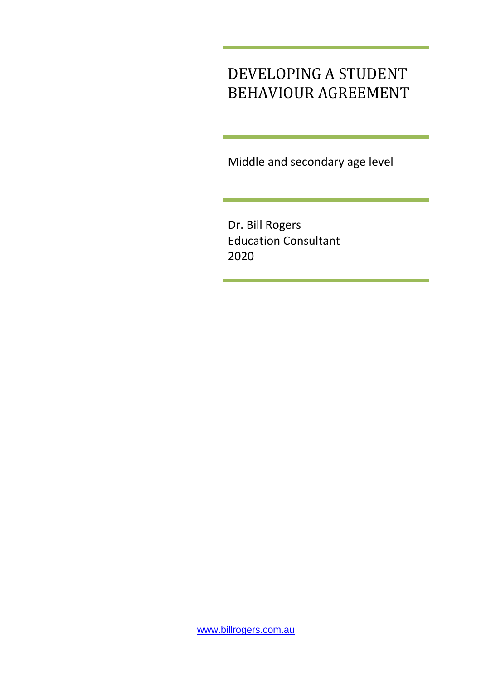## DEVELOPING A STUDENT BEHAVIOUR AGREEMENT

Middle and secondary age level

Dr. Bill Rogers Education Consultant 2020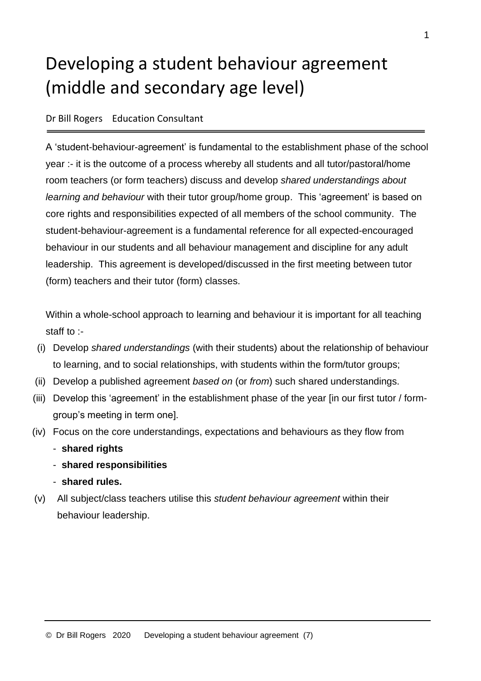# Developing a student behaviour agreement (middle and secondary age level)

#### Dr Bill Rogers Education Consultant

A 'student-behaviour-agreement' is fundamental to the establishment phase of the school year :- it is the outcome of a process whereby all students and all tutor/pastoral/home room teachers (or form teachers) discuss and develop *shared understandings about learning and behaviour* with their tutor group/home group. This 'agreement' is based on core rights and responsibilities expected of all members of the school community. The student-behaviour-agreement is a fundamental reference for all expected-encouraged behaviour in our students and all behaviour management and discipline for any adult leadership. This agreement is developed/discussed in the first meeting between tutor (form) teachers and their tutor (form) classes.

Within a whole-school approach to learning and behaviour it is important for all teaching staff to :-

- (i) Develop *shared understandings* (with their students) about the relationship of behaviour to learning, and to social relationships, with students within the form/tutor groups;
- (ii) Develop a published agreement *based on* (or *from*) such shared understandings.
- (iii) Develop this 'agreement' in the establishment phase of the year [in our first tutor / formgroup's meeting in term one].
- (iv) Focus on the core understandings, expectations and behaviours as they flow from
	- **shared rights**
	- **shared responsibilities**
	- **shared rules.**
- (v) All subject/class teachers utilise this *student behaviour agreement* within their behaviour leadership.

1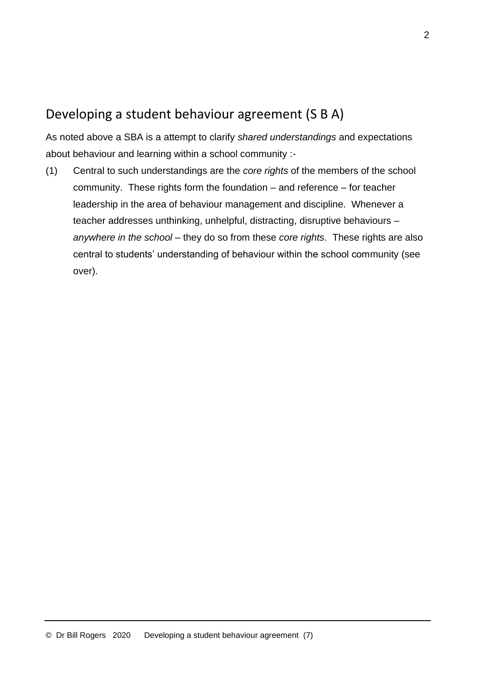### Developing a student behaviour agreement (S B A)

As noted above a SBA is a attempt to clarify *shared understandings* and expectations about behaviour and learning within a school community :-

(1) Central to such understandings are the *core rights* of the members of the school community. These rights form the foundation – and reference – for teacher leadership in the area of behaviour management and discipline. Whenever a teacher addresses unthinking, unhelpful, distracting, disruptive behaviours – *anywhere in the school* – they do so from these *core rights*. These rights are also central to students' understanding of behaviour within the school community (see over).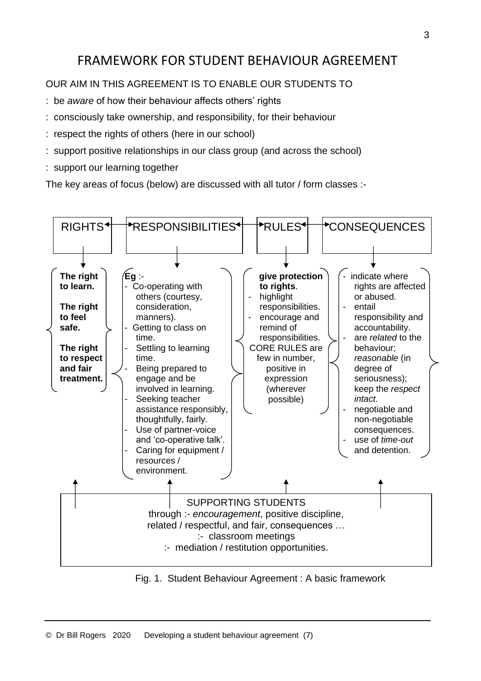## FRAMEWORK FOR STUDENT BEHAVIOUR AGREEMENT

#### OUR AIM IN THIS AGREEMENT IS TO ENABLE OUR STUDENTS TO

- : be *aware* of how their behaviour affects others' rights
- : consciously take ownership, and responsibility, for their behaviour
- : respect the rights of others (here in our school)
- : support positive relationships in our class group (and across the school)
- : support our learning together

The key areas of focus (below) are discussed with all tutor / form classes :-



Fig. 1. Student Behaviour Agreement : A basic framework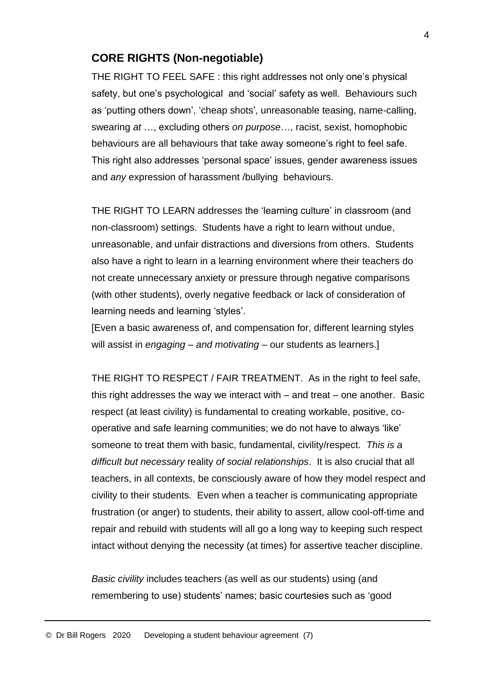#### **CORE RIGHTS (Non-negotiable)**

THE RIGHT TO FEEL SAFE : this right addresses not only one's physical safety, but one's psychological and 'social' safety as well. Behaviours such as 'putting others down', 'cheap shots', unreasonable teasing, name-calling, swearing *at* …, excluding others *on purpose*…, racist, sexist, homophobic behaviours are all behaviours that take away someone's right to feel safe. This right also addresses 'personal space' issues, gender awareness issues and *any* expression of harassment /bullying behaviours.

THE RIGHT TO LEARN addresses the 'learning culture' in classroom (and non-classroom) settings. Students have a right to learn without undue, unreasonable, and unfair distractions and diversions from others. Students also have a right to learn in a learning environment where their teachers do not create unnecessary anxiety or pressure through negative comparisons (with other students), overly negative feedback or lack of consideration of learning needs and learning 'styles'.

[Even a basic awareness of, and compensation for, different learning styles will assist in *engaging* – *and motivating* – our students as learners.]

THE RIGHT TO RESPECT / FAIR TREATMENT. As in the right to feel safe, this right addresses the way we interact with – and treat – one another. Basic respect (at least civility) is fundamental to creating workable, positive, cooperative and safe learning communities; we do not have to always 'like' someone to treat them with basic, fundamental, civility/respect. *This is a difficult but necessary* reality *of social relationships*. It is also crucial that all teachers, in all contexts, be consciously aware of how they model respect and civility to their students. Even when a teacher is communicating appropriate frustration (or anger) to students, their ability to assert, allow cool-off-time and repair and rebuild with students will all go a long way to keeping such respect intact without denying the necessity (at times) for assertive teacher discipline.

*Basic civility* includes teachers (as well as our students) using (and remembering to use) students' names; basic courtesies such as 'good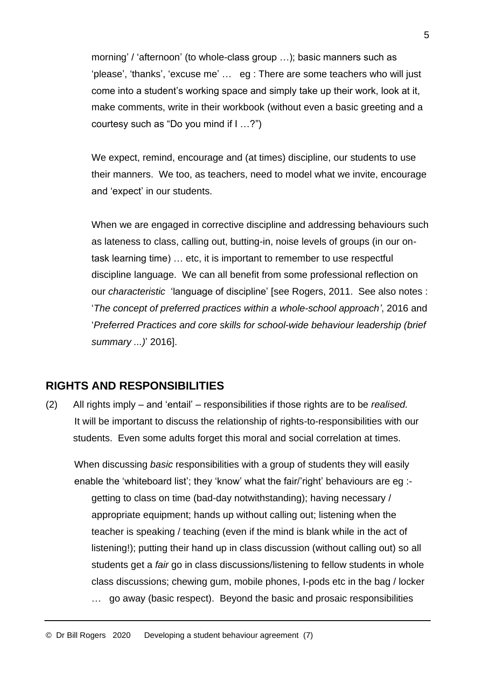morning' / 'afternoon' (to whole-class group …); basic manners such as 'please', 'thanks', 'excuse me' … eg : There are some teachers who will just come into a student's working space and simply take up their work, look at it, make comments, write in their workbook (without even a basic greeting and a courtesy such as "Do you mind if I …?")

We expect, remind, encourage and (at times) discipline, our students to use their manners. We too, as teachers, need to model what we invite, encourage and 'expect' in our students.

When we are engaged in corrective discipline and addressing behaviours such as lateness to class, calling out, butting-in, noise levels of groups (in our ontask learning time) … etc, it is important to remember to use respectful discipline language. We can all benefit from some professional reflection on our *characteristic* 'language of discipline' [see Rogers, 2011. See also notes : '*The concept of preferred practices within a whole-school approach'*, 2016 and '*Preferred Practices and core skills for school-wide behaviour leadership (brief summary ...)*' 2016].

#### **RIGHTS AND RESPONSIBILITIES**

(2) All rights imply – and 'entail' – responsibilities if those rights are to be *realised.* It will be important to discuss the relationship of rights-to-responsibilities with our students. Even some adults forget this moral and social correlation at times.

When discussing *basic* responsibilities with a group of students they will easily enable the 'whiteboard list'; they 'know' what the fair/'right' behaviours are eg : getting to class on time (bad-day notwithstanding); having necessary / appropriate equipment; hands up without calling out; listening when the teacher is speaking / teaching (even if the mind is blank while in the act of listening!); putting their hand up in class discussion (without calling out) so all students get a *fair* go in class discussions/listening to fellow students in whole class discussions; chewing gum, mobile phones, I-pods etc in the bag / locker … go away (basic respect). Beyond the basic and prosaic responsibilities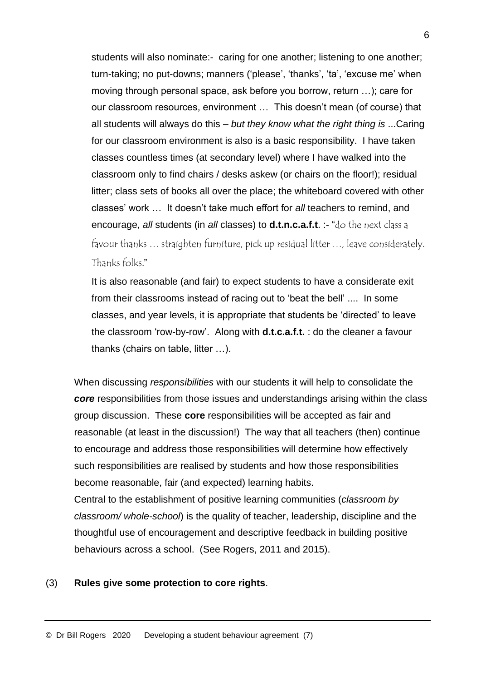students will also nominate:- caring for one another; listening to one another; turn-taking; no put-downs; manners ('please', 'thanks', 'ta', 'excuse me' when moving through personal space, ask before you borrow, return …); care for our classroom resources, environment … This doesn't mean (of course) that all students will always do this – *but they know what the right thing is* ...Caring for our classroom environment is also is a basic responsibility. I have taken classes countless times (at secondary level) where I have walked into the classroom only to find chairs / desks askew (or chairs on the floor!); residual litter; class sets of books all over the place; the whiteboard covered with other classes' work … It doesn't take much effort for *all* teachers to remind, and encourage, *all* students (in *all* classes) to **d.t.n.c.a.f.t**. :- "do the next class a favour thanks … straighten furniture, pick up residual litter …, leave considerately. Thanks folks*.*"

It is also reasonable (and fair) to expect students to have a considerate exit from their classrooms instead of racing out to 'beat the bell' .... In some classes, and year levels, it is appropriate that students be 'directed' to leave the classroom 'row-by-row'. Along with **d.t.c.a.f.t.** : do the cleaner a favour thanks (chairs on table, litter …).

When discussing *responsibilities* with our students it will help to consolidate the *core* responsibilities from those issues and understandings arising within the class group discussion. These **core** responsibilities will be accepted as fair and reasonable (at least in the discussion!) The way that all teachers (then) continue to encourage and address those responsibilities will determine how effectively such responsibilities are realised by students and how those responsibilities become reasonable, fair (and expected) learning habits.

Central to the establishment of positive learning communities (*classroom by classroom/ whole-school*) is the quality of teacher, leadership, discipline and the thoughtful use of encouragement and descriptive feedback in building positive behaviours across a school. (See Rogers, 2011 and 2015).

#### (3) **Rules give some protection to core rights**.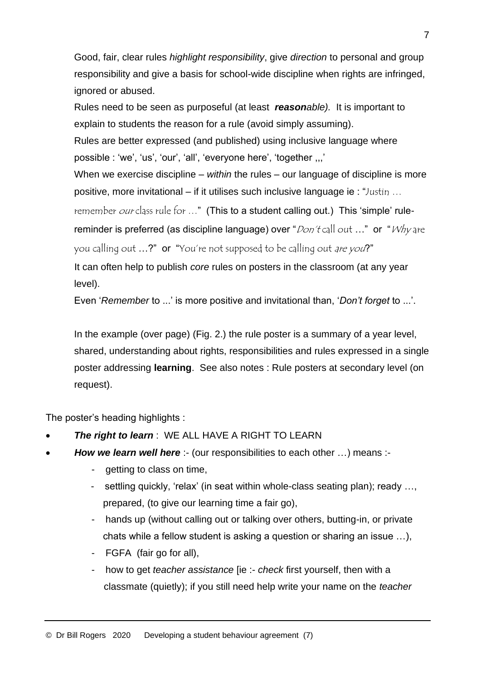Good, fair, clear rules *highlight responsibility*, give *direction* to personal and group responsibility and give a basis for school-wide discipline when rights are infringed, ignored or abused.

Rules need to be seen as purposeful (at least *reasonable).* It is important to explain to students the reason for a rule (avoid simply assuming).

Rules are better expressed (and published) using inclusive language where possible : 'we', 'us', 'our', 'all', 'everyone here', 'together ,,,'

When we exercise discipline – *within* the rules – our language of discipline is more positive, more invitational – if it utilises such inclusive language ie : "Justin ...

remember our class rule for ..." (This to a student calling out.) This 'simple' rule-

reminder is preferred (as discipline language) over " $Don \text{tan}$ " or "Why are you calling out ...?" or "You're not supposed to be calling out are you?"

It can often help to publish *core* rules on posters in the classroom (at any year

level).

Even '*Remember* to ...' is more positive and invitational than, '*Don't forget* to ...'.

In the example (over page) (Fig. 2.) the rule poster is a summary of a year level, shared, understanding about rights, responsibilities and rules expressed in a single poster addressing **learning**. See also notes : Rule posters at secondary level (on request).

The poster's heading highlights :

- **The right to learn**: WE ALL HAVE A RIGHT TO LEARN
- **How we learn well here** :- (our responsibilities to each other ...) means :-
	- getting to class on time,
	- settling quickly, 'relax' (in seat within whole-class seating plan); ready …, prepared, (to give our learning time a fair go),
	- hands up (without calling out or talking over others, butting-in, or private chats while a fellow student is asking a question or sharing an issue …),
	- FGFA (fair go for all),
	- how to get *teacher assistance* [ie :- *check* first yourself, then with a classmate (quietly); if you still need help write your name on the *teacher*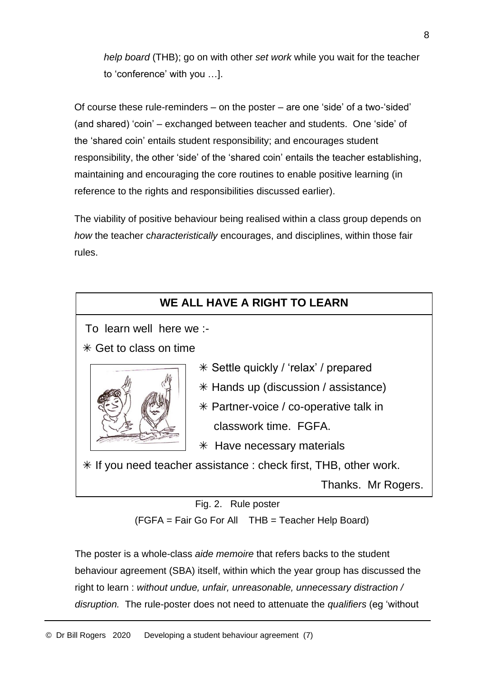*help board* (THB); go on with other *set work* while you wait for the teacher to 'conference' with you …].

Of course these rule-reminders – on the poster – are one 'side' of a two-'sided' (and shared) 'coin' – exchanged between teacher and students. One 'side' of the 'shared coin' entails student responsibility; and encourages student responsibility, the other 'side' of the 'shared coin' entails the teacher establishing, maintaining and encouraging the core routines to enable positive learning (in reference to the rights and responsibilities discussed earlier).

The viability of positive behaviour being realised within a class group depends on *how* the teacher c*haracteristically* encourages, and disciplines, within those fair rules.



Fig. 2. Rule poster

(FGFA = Fair Go For All THB = Teacher Help Board)

The poster is a whole-class *aide memoire* that refers backs to the student behaviour agreement (SBA) itself, within which the year group has discussed the right to learn : *without undue, unfair, unreasonable, unnecessary distraction / disruption.* The rule-poster does not need to attenuate the *qualifiers* (eg 'without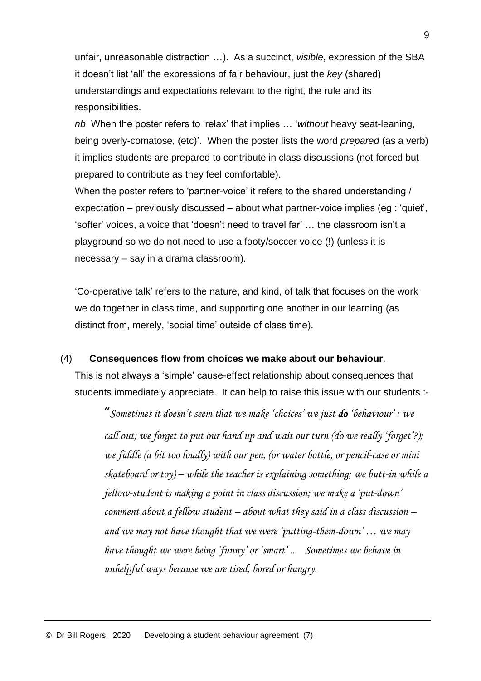unfair, unreasonable distraction …). As a succinct, *visible*, expression of the SBA it doesn't list 'all' the expressions of fair behaviour, just the *key* (shared) understandings and expectations relevant to the right, the rule and its responsibilities.

*nb* When the poster refers to 'relax' that implies … '*without* heavy seat-leaning, being overly-comatose, (etc)'. When the poster lists the word *prepared* (as a verb) it implies students are prepared to contribute in class discussions (not forced but prepared to contribute as they feel comfortable).

When the poster refers to 'partner-voice' it refers to the shared understanding / expectation – previously discussed – about what partner-voice implies (eg : 'quiet', 'softer' voices, a voice that 'doesn't need to travel far' … the classroom isn't a playground so we do not need to use a footy/soccer voice (!) (unless it is necessary – say in a drama classroom).

'Co-operative talk' refers to the nature, and kind, of talk that focuses on the work we do together in class time, and supporting one another in our learning (as distinct from, merely, 'social time' outside of class time).

#### (4) **Consequences flow from choices we make about our behaviour**.

This is not always a 'simple' cause-effect relationship about consequences that students immediately appreciate. It can help to raise this issue with our students :-

"*Sometimes it doesn't seem that we make 'choices' we just do 'behaviour' : we call out; we forget to put our hand up and wait our turn (do we really 'forget'?); we fiddle (a bit too loudly) with our pen, (or water bottle, or pencil-case or mini skateboard or toy) – while the teacher is explaining something; we butt-in while a fellow-student is making a point in class discussion; we make a 'put-down' comment about a fellow student – about what they said in a class discussion – and we may not have thought that we were 'putting-them-down' … we may have thought we were being 'funny' or 'smart' ... Sometimes we behave in unhelpful ways because we are tired, bored or hungry.*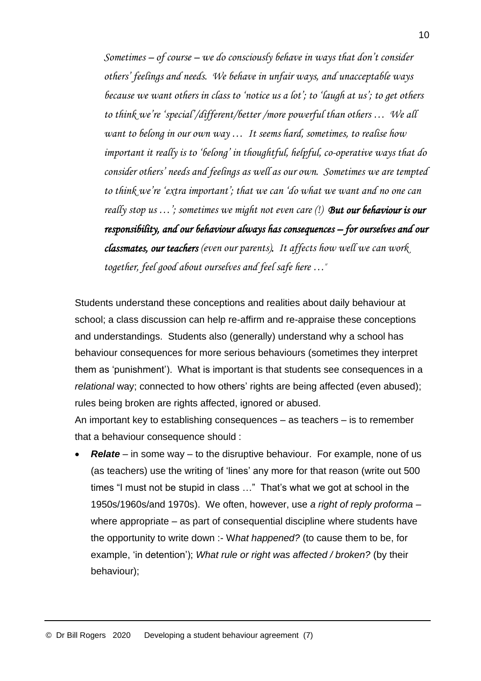*Sometimes – of course – we do consciously behave in ways that don't consider others' feelings and needs. We behave in unfair ways, and unacceptable ways because we want others in class to 'notice us a lot'; to 'laugh at us'; to get others to think we're 'special'/different/better /more powerful than others … We all want to belong in our own way … It seems hard, sometimes, to realise how important it really is to 'belong' in thoughtful, helpful, co-operative ways that do consider others' needs and feelings as well as our own. Sometimes we are tempted to think we're 'extra important'; that we can 'do what we want and no one can really stop us …'; sometimes we might not even care (!) But our behaviour is our responsibility, and our behaviour always has consequences – for ourselves and our classmates, our teachers (even our parents). It affects how well we can work together, feel good about ourselves and feel safe here …*"

Students understand these conceptions and realities about daily behaviour at school; a class discussion can help re-affirm and re-appraise these conceptions and understandings. Students also (generally) understand why a school has behaviour consequences for more serious behaviours (sometimes they interpret them as 'punishment'). What is important is that students see consequences in a *relational* way; connected to how others' rights are being affected (even abused); rules being broken are rights affected, ignored or abused.

An important key to establishing consequences – as teachers – is to remember that a behaviour consequence should :

• *Relate* – in some way – to the disruptive behaviour. For example, none of us (as teachers) use the writing of 'lines' any more for that reason (write out 500 times "I must not be stupid in class …" That's what we got at school in the 1950s/1960s/and 1970s). We often, however, use *a right of reply proforma* – where appropriate – as part of consequential discipline where students have the opportunity to write down :- W*hat happened?* (to cause them to be, for example, 'in detention'); *What rule or right was affected / broken?* (by their behaviour);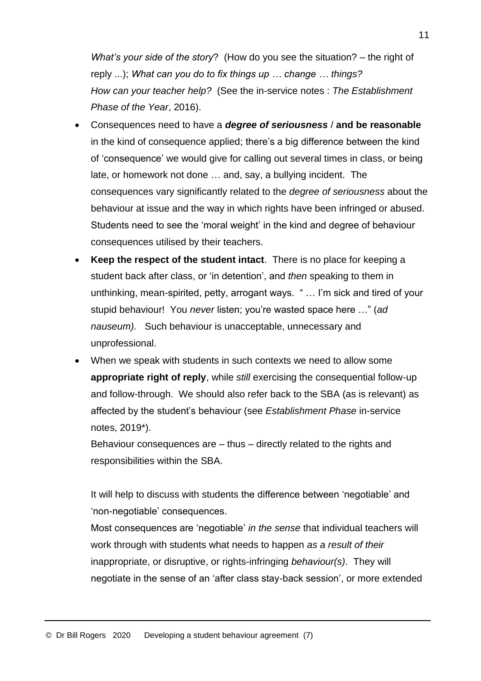*What's your side of the story*?(How do you see the situation? – the right of reply ...); *What can you do to fix things up … change … things? How can your teacher help?* (See the in-service notes : *The Establishment Phase of the Year*, 2016).

- Consequences need to have a *degree of seriousness* / **and be reasonable** in the kind of consequence applied; there's a big difference between the kind of 'consequence' we would give for calling out several times in class, or being late, or homework not done … and, say, a bullying incident. The consequences vary significantly related to the *degree of seriousness* about the behaviour at issue and the way in which rights have been infringed or abused. Students need to see the 'moral weight' in the kind and degree of behaviour consequences utilised by their teachers.
- **Keep the respect of the student intact**. There is no place for keeping a student back after class, or 'in detention', and *then* speaking to them in unthinking, mean-spirited, petty, arrogant ways. " … I'm sick and tired of your stupid behaviour! You *never* listen; you're wasted space here …" (*ad nauseum).* Such behaviour is unacceptable, unnecessary and unprofessional.
- When we speak with students in such contexts we need to allow some **appropriate right of reply**, while *still* exercising the consequential follow-up and follow-through. We should also refer back to the SBA (as is relevant) as affected by the student's behaviour (see *Establishment Phase* in-service notes, 2019\*).

Behaviour consequences are – thus – directly related to the rights and responsibilities within the SBA.

It will help to discuss with students the difference between 'negotiable' and 'non-negotiable' consequences.

Most consequences are 'negotiable' *in the sense* that individual teachers will work through with students what needs to happen *as a result of their* inappropriate, or disruptive, or rights-infringing *behaviour(s)*. They will negotiate in the sense of an 'after class stay-back session', or more extended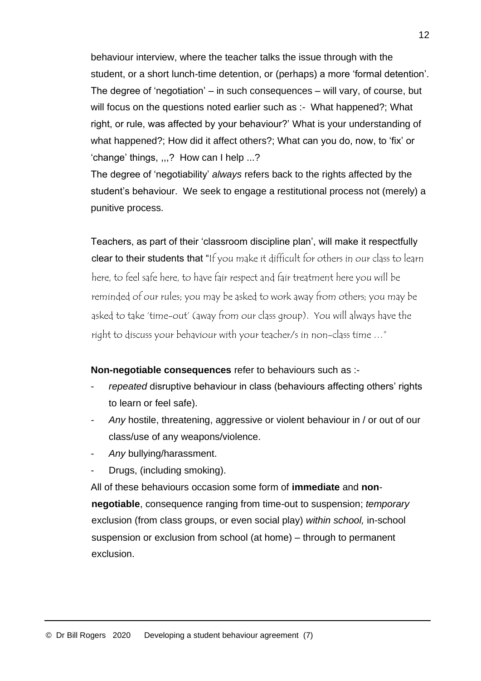behaviour interview, where the teacher talks the issue through with the student, or a short lunch-time detention, or (perhaps) a more 'formal detention'. The degree of 'negotiation' – in such consequences – will vary, of course, but will focus on the questions noted earlier such as :- What happened?; What right, or rule, was affected by your behaviour?' What is your understanding of what happened?; How did it affect others?; What can you do, now, to 'fix' or 'change' things, ,,,? How can I help ...?

The degree of 'negotiability' *always* refers back to the rights affected by the student's behaviour. We seek to engage a restitutional process not (merely) a punitive process.

Teachers, as part of their 'classroom discipline plan', will make it respectfully clear to their students that "If you make it difficult for others in our class to learn here, to feel safe here, to have fair respect and fair treatment here you will be reminded of our rules; you may be asked to work away from others; you may be asked to take 'time-out' (away from our class group). You will always have the right to discuss your behaviour with your teacher/s in non-class time …"

**Non-negotiable consequences** refer to behaviours such as :-

- repeated disruptive behaviour in class (behaviours affecting others' rights to learn or feel safe).
- *- Any* hostile, threatening, aggressive or violent behaviour in / or out of our class/use of any weapons/violence.
- *Any* bullying/harassment.
- Drugs, (including smoking).

All of these behaviours occasion some form of **immediate** and **nonnegotiable**, consequence ranging from time-out to suspension; *temporary* exclusion (from class groups, or even social play) *within school,* in-school suspension or exclusion from school (at home) – through to permanent exclusion.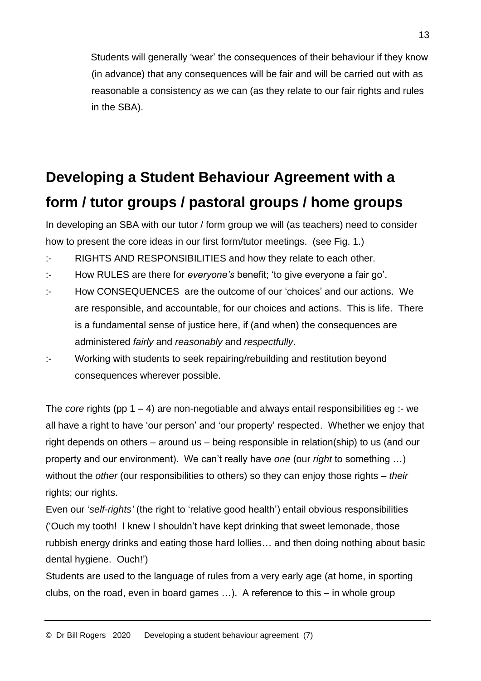Students will generally 'wear' the consequences of their behaviour if they know (in advance) that any consequences will be fair and will be carried out with as reasonable a consistency as we can (as they relate to our fair rights and rules in the SBA).

# **Developing a Student Behaviour Agreement with a form / tutor groups / pastoral groups / home groups**

In developing an SBA with our tutor / form group we will (as teachers) need to consider how to present the core ideas in our first form/tutor meetings. (see Fig. 1.)

- :- RIGHTS AND RESPONSIBILITIES and how they relate to each other.
- :- How RULES are there for *everyone's* benefit; 'to give everyone a fair go'.
- :- How CONSEQUENCES are the outcome of our 'choices' and our actions. We are responsible, and accountable, for our choices and actions. This is life. There is a fundamental sense of justice here, if (and when) the consequences are administered *fairly* and *reasonably* and *respectfully*.
- :- Working with students to seek repairing/rebuilding and restitution beyond consequences wherever possible.

The *core* rights (pp  $1 - 4$ ) are non-negotiable and always entail responsibilities eg :- we all have a right to have 'our person' and 'our property' respected. Whether we enjoy that right depends on others – around us – being responsible in relation(ship) to us (and our property and our environment). We can't really have *one* (our *right* to something …) without the *other* (our responsibilities to others) so they can enjoy those rights – *their* rights; our rights.

Even our '*self-rights'* (the right to 'relative good health') entail obvious responsibilities ('Ouch my tooth! I knew I shouldn't have kept drinking that sweet lemonade, those rubbish energy drinks and eating those hard lollies… and then doing nothing about basic dental hygiene. Ouch!')

Students are used to the language of rules from a very early age (at home, in sporting clubs, on the road, even in board games …). A reference to this – in whole group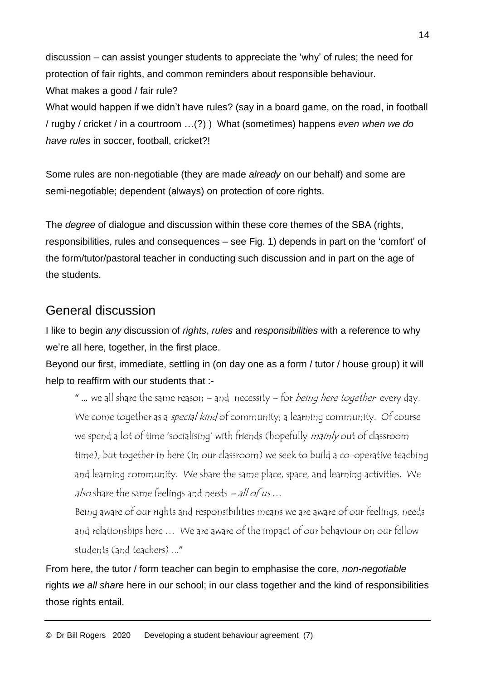discussion – can assist younger students to appreciate the 'why' of rules; the need for protection of fair rights, and common reminders about responsible behaviour. What makes a good / fair rule?

What would happen if we didn't have rules? (say in a board game, on the road, in football / rugby / cricket / in a courtroom …(?) ) What (sometimes) happens *even when we do have rules* in soccer, football, cricket?!

Some rules are non-negotiable (they are made *already* on our behalf) and some are semi-negotiable; dependent (always) on protection of core rights.

The *degree* of dialogue and discussion within these core themes of the SBA (rights, responsibilities, rules and consequences – see Fig. 1) depends in part on the 'comfort' of the form/tutor/pastoral teacher in conducting such discussion and in part on the age of the students.

### General discussion

I like to begin *any* discussion of *rights*, *rules* and *responsibilities* with a reference to why we're all here, together, in the first place.

Beyond our first, immediate, settling in (on day one as a form / tutor / house group) it will help to reaffirm with our students that :-

" ... we all share the same reason – and necessity – for *being here together* every day. We come together as a *special kind* of community; a learning community. Of course we spend a lot of time 'socialising' with friends (hopefully mainly out of classroom time), but together in here (in our classroom) we seek to build a co-operative teaching and learning community. We share the same place, space, and learning activities. We also share the same feelings and needs  $-$  all of us...

Being aware of our rights and responsibilities means we are aware of our feelings, needs and relationships here … We are aware of the impact of our behaviour on our fellow students (and teachers) ..."

From here, the tutor / form teacher can begin to emphasise the core, *non-negotiable* rights *we all share* here in our school; in our class together and the kind of responsibilities those rights entail.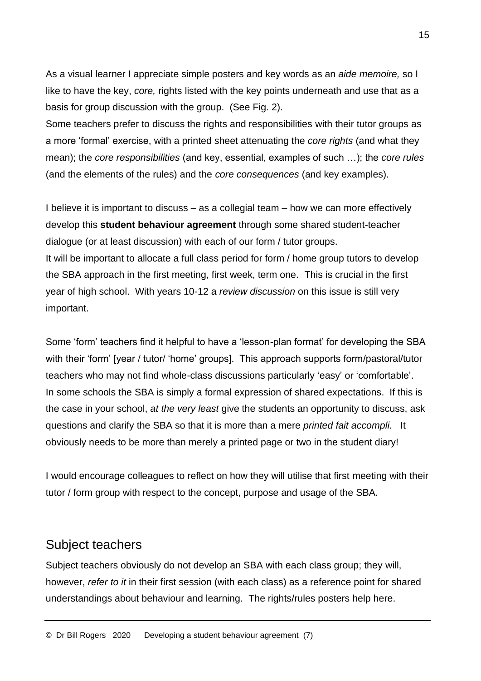As a visual learner I appreciate simple posters and key words as an *aide memoire,* so I like to have the key, *core,* rights listed with the key points underneath and use that as a basis for group discussion with the group. (See Fig. 2).

Some teachers prefer to discuss the rights and responsibilities with their tutor groups as a more 'formal' exercise, with a printed sheet attenuating the *core rights* (and what they mean); the *core responsibilities* (and key, essential, examples of such …); the *core rules* (and the elements of the rules) and the *core consequences* (and key examples).

I believe it is important to discuss – as a collegial team – how we can more effectively develop this **student behaviour agreement** through some shared student-teacher dialogue (or at least discussion) with each of our form / tutor groups. It will be important to allocate a full class period for form / home group tutors to develop the SBA approach in the first meeting, first week, term one. This is crucial in the first year of high school. With years 10-12 a *review discussion* on this issue is still very important.

Some 'form' teachers find it helpful to have a 'lesson-plan format' for developing the SBA with their 'form' [year / tutor/ 'home' groups]. This approach supports form/pastoral/tutor teachers who may not find whole-class discussions particularly 'easy' or 'comfortable'. In some schools the SBA is simply a formal expression of shared expectations. If this is the case in your school, *at the very least* give the students an opportunity to discuss, ask questions and clarify the SBA so that it is more than a mere *printed fait accompli.* It obviously needs to be more than merely a printed page or two in the student diary!

I would encourage colleagues to reflect on how they will utilise that first meeting with their tutor / form group with respect to the concept, purpose and usage of the SBA.

### Subject teachers

Subject teachers obviously do not develop an SBA with each class group; they will, however, *refer to it* in their first session (with each class) as a reference point for shared understandings about behaviour and learning. The rights/rules posters help here.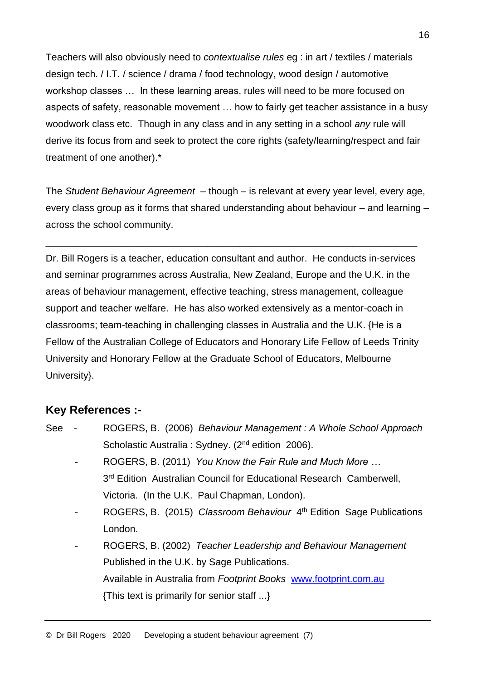Teachers will also obviously need to *contextualise rules* eg : in art / textiles / materials design tech. / I.T. / science / drama / food technology, wood design / automotive workshop classes … In these learning areas, rules will need to be more focused on aspects of safety, reasonable movement … how to fairly get teacher assistance in a busy woodwork class etc. Though in any class and in any setting in a school *any* rule will derive its focus from and seek to protect the core rights (safety/learning/respect and fair treatment of one another).\*

The *Student Behaviour Agreement* – though – is relevant at every year level, every age, every class group as it forms that shared understanding about behaviour – and learning – across the school community.

\_\_\_\_\_\_\_\_\_\_\_\_\_\_\_\_\_\_\_\_\_\_\_\_\_\_\_\_\_\_\_\_\_\_\_\_\_\_\_\_\_\_\_\_\_\_\_\_\_\_\_\_\_\_\_\_\_\_\_\_\_\_\_\_\_\_\_\_\_

Dr. Bill Rogers is a teacher, education consultant and author. He conducts in-services and seminar programmes across Australia, New Zealand, Europe and the U.K. in the areas of behaviour management, effective teaching, stress management, colleague support and teacher welfare. He has also worked extensively as a mentor-coach in classrooms; team-teaching in challenging classes in Australia and the U.K. {He is a Fellow of the Australian College of Educators and Honorary Life Fellow of Leeds Trinity University and Honorary Fellow at the Graduate School of Educators, Melbourne University}.

#### **Key References :-**

See - ROGERS, B. (2006) *Behaviour Management : A Whole School Approach* Scholastic Australia : Sydney. (2<sup>nd</sup> edition 2006). - ROGERS, B. (2011) *You Know the Fair Rule and Much More …* 3<sup>rd</sup> Edition Australian Council for Educational Research Camberwell, Victoria. (In the U.K. Paul Chapman, London). - ROGERS, B. (2015) Classroom Behaviour 4<sup>th</sup> Edition Sage Publications London. - ROGERS, B. (2002) *Teacher Leadership and Behaviour Management*  Published in the U.K. by Sage Publications. Available in Australia from *Footprint Books* [www.footprint.com.au](http://www.footprint.com.au/) {This text is primarily for senior staff ...}